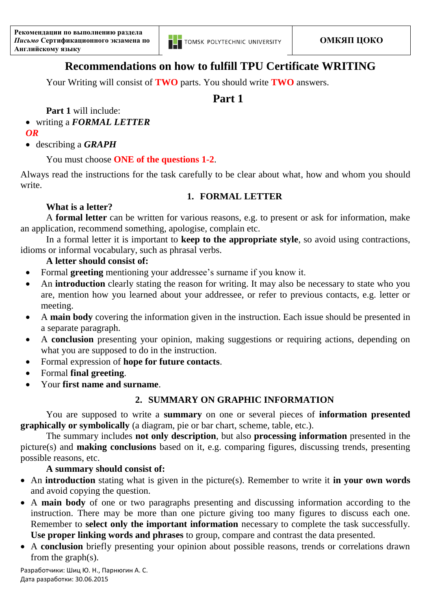

# **Recommendations on how to fulfill TPU Certificate WRITING**

Your Writing will consist of **TWO** parts. You should write **TWO** answers.

# **Part 1**

**Part 1** will include:

- writing a *FORMAL LETTER*
- *OR*
- describing a *GRAPH*

### You must choose **ONE of the questions 1-2**.

Always read the instructions for the task carefully to be clear about what, how and whom you should write.

#### **1. FORMAL LETTER**

## **What is a letter?**

A **formal letter** can be written for various reasons, e.g. to present or ask for information, make an application, recommend something, apologise, complain etc.

In a formal letter it is important to **keep to the appropriate style**, so avoid using contractions, idioms or informal vocabulary, such as phrasal verbs.

#### **A letter should consist of:**

- Formal **greeting** mentioning your addressee's surname if you know it.
- An **introduction** clearly stating the reason for writing. It may also be necessary to state who you are, mention how you learned about your addressee, or refer to previous contacts, e.g. letter or meeting.
- A **main body** covering the information given in the instruction. Each issue should be presented in a separate paragraph.
- A **conclusion** presenting your opinion, making suggestions or requiring actions, depending on what you are supposed to do in the instruction.
- Formal expression of **hope for future contacts**.
- Formal **final greeting**.
- Your **first name and surname**.

### **2. SUMMARY ON GRAPHIC INFORMATION**

You are supposed to write a **summary** on one or several pieces of **information presented graphically or symbolically** (a diagram, pie or bar chart, scheme, table, etc.).

The summary includes **not only description**, but also **processing information** presented in the picture(s) and **making conclusions** based on it, e.g. comparing figures, discussing trends, presenting possible reasons, etc.

#### **A summary should consist of:**

- An **introduction** stating what is given in the picture(s). Remember to write it **in your own words** and avoid copying the question.
- A **main body** of one or two paragraphs presenting and discussing information according to the instruction. There may be more than one picture giving too many figures to discuss each one. Remember to **select only the important information** necessary to complete the task successfully. **Use proper linking words and phrases** to group, compare and contrast the data presented.
- A **conclusion** briefly presenting your opinion about possible reasons, trends or correlations drawn from the graph(s).

Разработчики: Шиц Ю. Н., Парнюгин А. С. Дата разработки: 30.06.2015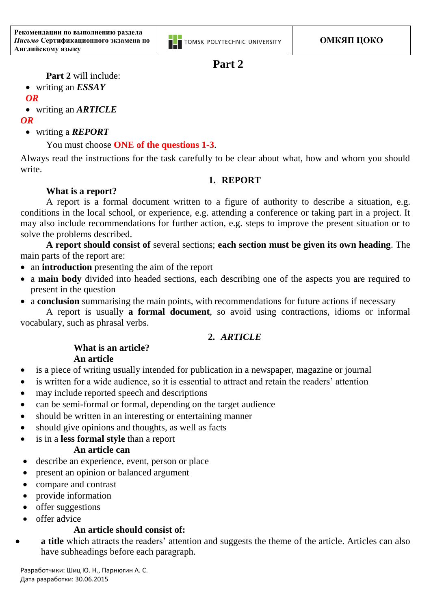

# **Part 2**

**Part 2** will include:

writing an *ESSAY*

#### *OR*

writing an *ARTICLE*

#### *OR*

writing a *REPORT*

## You must choose **ONE of the questions 1-3**.

Always read the instructions for the task carefully to be clear about what, how and whom you should write.

#### **1. REPORT**

### **What is a report?**

A report is a formal document written to a figure of authority to describe a situation, e.g. conditions in the local school, or experience, e.g. attending a conference or taking part in a project. It may also include recommendations for further action, e.g. steps to improve the present situation or to solve the problems described.

**A report should consist of** several sections; **each section must be given its own heading**. The main parts of the report are:

- an **introduction** presenting the aim of the report
- a **main body** divided into headed sections, each describing one of the aspects you are required to present in the question
- a **conclusion** summarising the main points, with recommendations for future actions if necessary

A report is usually **a formal document**, so avoid using contractions, idioms or informal vocabulary, such as phrasal verbs.

### **2.** *ARTICLE*

#### **What is an article? An article**

- is a piece of writing usually intended for publication in a newspaper, magazine or journal
- is written for a wide audience, so it is essential to attract and retain the readers' attention
- may include reported speech and descriptions
- can be semi-formal or formal, depending on the target audience
- should be written in an interesting or entertaining manner
- should give opinions and thoughts, as well as facts
- is in a **less formal style** than a report

#### **An article can**

- describe an experience, event, person or place
- present an opinion or balanced argument
- compare and contrast
- provide information
- offer suggestions
- offer advice

### **An article should consist of:**

 **a title** which attracts the readers' attention and suggests the theme of the article. Articles can also have subheadings before each paragraph.

Разработчики: Шиц Ю. Н., Парнюгин А. С. Дата разработки: 30.06.2015